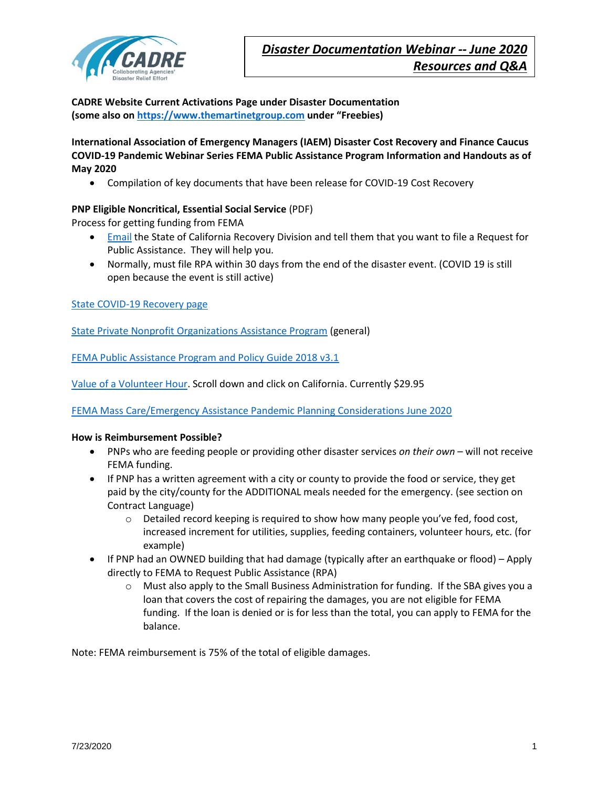

**CADRE Website Current Activations Page under Disaster Documentation (some also on [https://www.themartinetgroup.com](https://www.themartinetgroup.com/) under "Freebies)**

**International Association of Emergency Managers (IAEM) Disaster Cost Recovery and Finance Caucus COVID-19 Pandemic Webinar Series FEMA Public Assistance Program Information and Handouts as of May 2020**

• Compilation of key documents that have been release for COVID-19 Cost Recovery

# **PNP Eligible Noncritical, Essential Social Service** (PDF)

Process for getting funding from FEMA

- [Email](http://DisasterRecovery@CalOES.ca.gov) the State of California Recovery Division and tell them that you want to file a Request for Public Assistance. They will help you.
- Normally, must file RPA within 30 days from the end of the disaster event. (COVID 19 is still open because the event is still active)

[State COVID-19 Recovery](https://www.caloes.ca.gov/cal-oes-divisions/recovery/covid-19) page

[State Private Nonprofit Organizations Assistance Program](https://www.caloes.ca.gov/cal-oes-divisions/recovery/disaster-mitigation-technical-support/technical-assistance/state-private-nonprofit-organizations-assistance-program) (general)

[FEMA Public Assistance Program and Policy Guide 2018 v3.1](https://www.fema.gov/media-library-data/1591036773793-4b7a09fc1680e09984629fc3ea77467a/PAPPG_3.1_508_FINAL_5-4-2018_ARCHIVED.pdf)

[Value of a Volunteer Hour.](https://independentsector.org/resource/vovt_details/) Scroll down and click on California. Currently \$29.95

[FEMA Mass Care/Emergency Assistance Pandemic Planning Considerations June 2020](https://www.fema.gov/media-library-data/1591805537743-dd381cfb5c45eea9999dac1637815716/MCEA_Pandemic_Planning_Considerations_Guide_508.pdf)

#### **How is Reimbursement Possible?**

- PNPs who are feeding people or providing other disaster services *on their own* will not receive FEMA funding.
- If PNP has a written agreement with a city or county to provide the food or service, they get paid by the city/county for the ADDITIONAL meals needed for the emergency. (see section on Contract Language)
	- $\circ$  Detailed record keeping is required to show how many people you've fed, food cost, increased increment for utilities, supplies, feeding containers, volunteer hours, etc. (for example)
- If PNP had an OWNED building that had damage (typically after an earthquake or flood) Apply directly to FEMA to Request Public Assistance (RPA)
	- $\circ$  Must also apply to the Small Business Administration for funding. If the SBA gives you a loan that covers the cost of repairing the damages, you are not eligible for FEMA funding. If the loan is denied or is for less than the total, you can apply to FEMA for the balance.

Note: FEMA reimbursement is 75% of the total of eligible damages.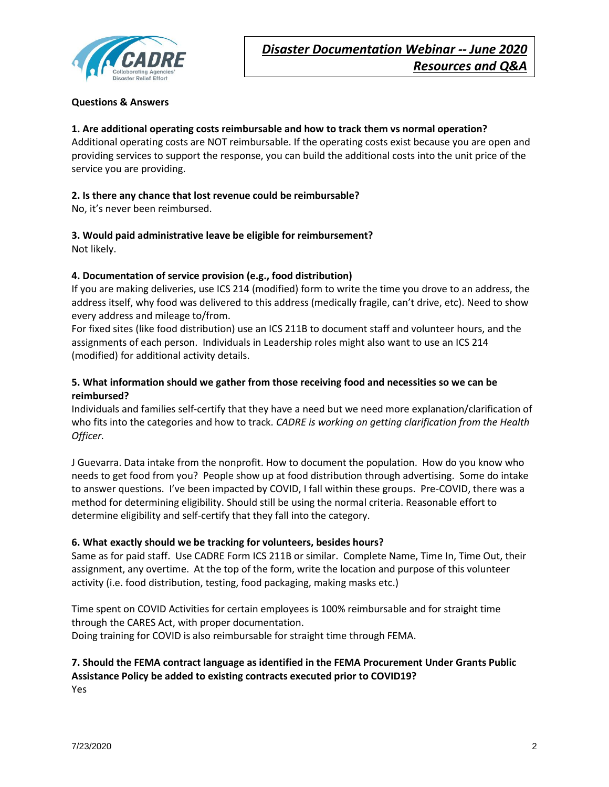

## **Questions & Answers**

# **1. Are additional operating costs reimbursable and how to track them vs normal operation?**

Additional operating costs are NOT reimbursable. If the operating costs exist because you are open and providing services to support the response, you can build the additional costs into the unit price of the service you are providing.

### **2. Is there any chance that lost revenue could be reimbursable?**

No, it's never been reimbursed.

# **3. Would paid administrative leave be eligible for reimbursement?**

Not likely.

## **4. Documentation of service provision (e.g., food distribution)**

If you are making deliveries, use ICS 214 (modified) form to write the time you drove to an address, the address itself, why food was delivered to this address (medically fragile, can't drive, etc). Need to show every address and mileage to/from.

For fixed sites (like food distribution) use an ICS 211B to document staff and volunteer hours, and the assignments of each person. Individuals in Leadership roles might also want to use an ICS 214 (modified) for additional activity details.

# **5. What information should we gather from those receiving food and necessities so we can be reimbursed?**

Individuals and families self-certify that they have a need but we need more explanation/clarification of who fits into the categories and how to track. *CADRE is working on getting clarification from the Health Officer.*

J Guevarra. Data intake from the nonprofit. How to document the population. How do you know who needs to get food from you? People show up at food distribution through advertising. Some do intake to answer questions. I've been impacted by COVID, I fall within these groups. Pre-COVID, there was a method for determining eligibility. Should still be using the normal criteria. Reasonable effort to determine eligibility and self-certify that they fall into the category.

## **6. What exactly should we be tracking for volunteers, besides hours?**

Same as for paid staff. Use CADRE Form ICS 211B or similar. Complete Name, Time In, Time Out, their assignment, any overtime. At the top of the form, write the location and purpose of this volunteer activity (i.e. food distribution, testing, food packaging, making masks etc.)

Time spent on COVID Activities for certain employees is 100% reimbursable and for straight time through the CARES Act, with proper documentation. Doing training for COVID is also reimbursable for straight time through FEMA.

# **7. Should the FEMA contract language as identified in the FEMA Procurement Under Grants Public Assistance Policy be added to existing contracts executed prior to COVID19?**  Yes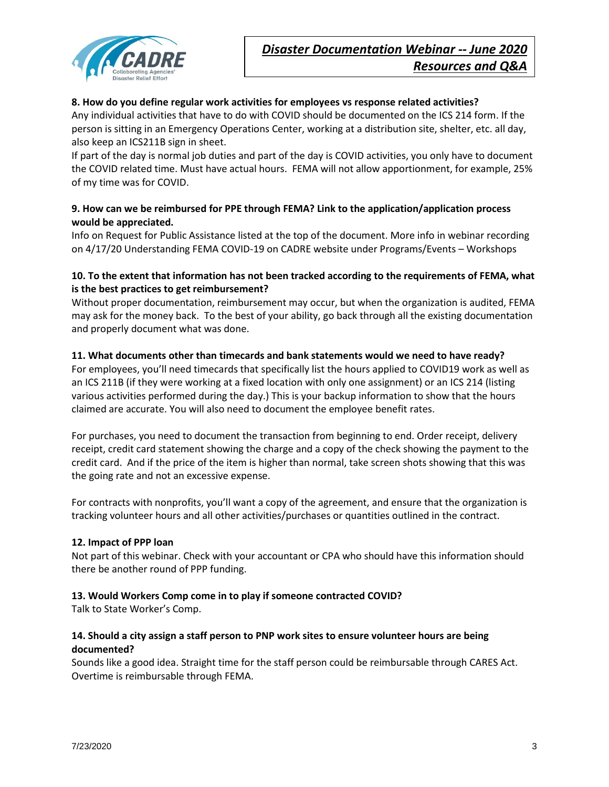

### **8. How do you define regular work activities for employees vs response related activities?**

Any individual activities that have to do with COVID should be documented on the ICS 214 form. If the person is sitting in an Emergency Operations Center, working at a distribution site, shelter, etc. all day, also keep an ICS211B sign in sheet.

If part of the day is normal job duties and part of the day is COVID activities, you only have to document the COVID related time. Must have actual hours. FEMA will not allow apportionment, for example, 25% of my time was for COVID.

# **9. How can we be reimbursed for PPE through FEMA? Link to the application/application process would be appreciated.**

Info on Request for Public Assistance listed at the top of the document. More info in webinar recording on 4/17/20 Understanding FEMA COVID-19 on CADRE website under Programs/Events – Workshops

# **10. To the extent that information has not been tracked according to the requirements of FEMA, what is the best practices to get reimbursement?**

Without proper documentation, reimbursement may occur, but when the organization is audited, FEMA may ask for the money back. To the best of your ability, go back through all the existing documentation and properly document what was done.

## **11. What documents other than timecards and bank statements would we need to have ready?**

For employees, you'll need timecards that specifically list the hours applied to COVID19 work as well as an ICS 211B (if they were working at a fixed location with only one assignment) or an ICS 214 (listing various activities performed during the day.) This is your backup information to show that the hours claimed are accurate. You will also need to document the employee benefit rates.

For purchases, you need to document the transaction from beginning to end. Order receipt, delivery receipt, credit card statement showing the charge and a copy of the check showing the payment to the credit card. And if the price of the item is higher than normal, take screen shots showing that this was the going rate and not an excessive expense.

For contracts with nonprofits, you'll want a copy of the agreement, and ensure that the organization is tracking volunteer hours and all other activities/purchases or quantities outlined in the contract.

#### **12. Impact of PPP loan**

Not part of this webinar. Check with your accountant or CPA who should have this information should there be another round of PPP funding.

#### **13. Would Workers Comp come in to play if someone contracted COVID?**

Talk to State Worker's Comp.

## **14. Should a city assign a staff person to PNP work sites to ensure volunteer hours are being documented?**

Sounds like a good idea. Straight time for the staff person could be reimbursable through CARES Act. Overtime is reimbursable through FEMA.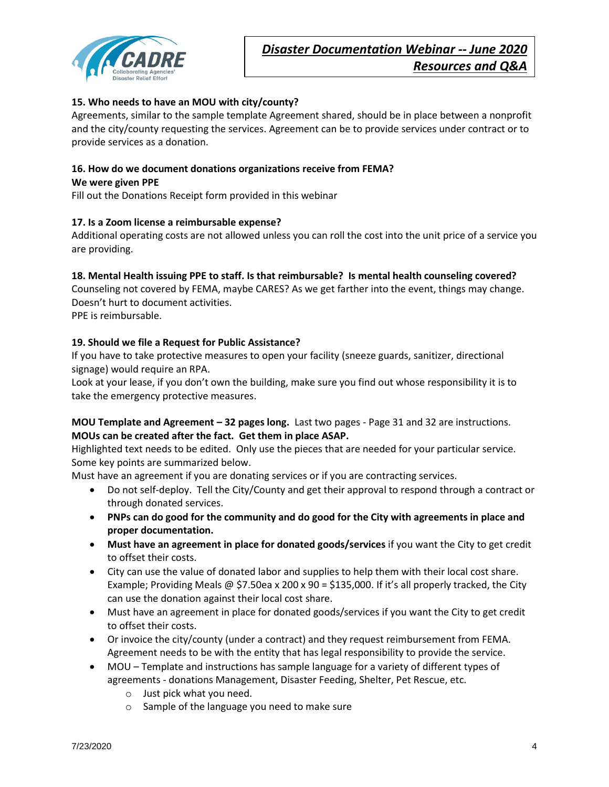

## **15. Who needs to have an MOU with city/county?**

Agreements, similar to the sample template Agreement shared, should be in place between a nonprofit and the city/county requesting the services. Agreement can be to provide services under contract or to provide services as a donation.

# **16. How do we document donations organizations receive from FEMA?**

#### **We were given PPE**

Fill out the Donations Receipt form provided in this webinar

#### **17. Is a Zoom license a reimbursable expense?**

Additional operating costs are not allowed unless you can roll the cost into the unit price of a service you are providing.

#### **18. Mental Health issuing PPE to staff. Is that reimbursable? Is mental health counseling covered?**

Counseling not covered by FEMA, maybe CARES? As we get farther into the event, things may change. Doesn't hurt to document activities.

PPE is reimbursable.

## **19. Should we file a Request for Public Assistance?**

If you have to take protective measures to open your facility (sneeze guards, sanitizer, directional signage) would require an RPA.

Look at your lease, if you don't own the building, make sure you find out whose responsibility it is to take the emergency protective measures.

# **MOU Template and Agreement – 32 pages long.** Last two pages - Page 31 and 32 are instructions. **MOUs can be created after the fact. Get them in place ASAP.**

Highlighted text needs to be edited. Only use the pieces that are needed for your particular service. Some key points are summarized below.

Must have an agreement if you are donating services or if you are contracting services.

- Do not self-deploy. Tell the City/County and get their approval to respond through a contract or through donated services.
- **PNPs can do good for the community and do good for the City with agreements in place and proper documentation.**
- **Must have an agreement in place for donated goods/services** if you want the City to get credit to offset their costs.
- City can use the value of donated labor and supplies to help them with their local cost share. Example; Providing Meals @ \$7.50ea x 200 x 90 = \$135,000. If it's all properly tracked, the City can use the donation against their local cost share.
- Must have an agreement in place for donated goods/services if you want the City to get credit to offset their costs.
- Or invoice the city/county (under a contract) and they request reimbursement from FEMA. Agreement needs to be with the entity that has legal responsibility to provide the service.
- MOU Template and instructions has sample language for a variety of different types of agreements - donations Management, Disaster Feeding, Shelter, Pet Rescue, etc.
	- o Just pick what you need.
	- o Sample of the language you need to make sure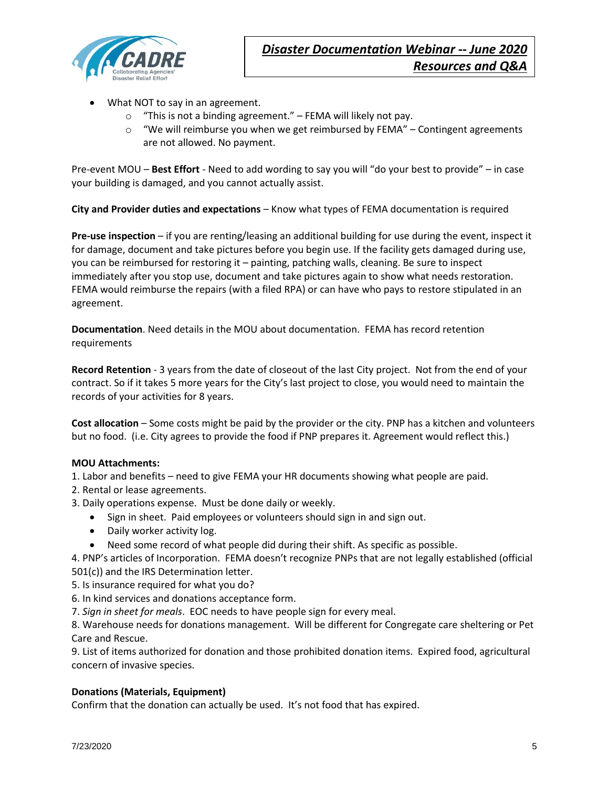

- What NOT to say in an agreement.
	- $\circ$  "This is not a binding agreement." FEMA will likely not pay.
	- $\circ$  "We will reimburse you when we get reimbursed by FEMA" Contingent agreements are not allowed. No payment.

Pre-event MOU – **Best Effort** - Need to add wording to say you will "do your best to provide" – in case your building is damaged, and you cannot actually assist.

**City and Provider duties and expectations** – Know what types of FEMA documentation is required

**Pre-use inspection** – if you are renting/leasing an additional building for use during the event, inspect it for damage, document and take pictures before you begin use. If the facility gets damaged during use, you can be reimbursed for restoring it – painting, patching walls, cleaning. Be sure to inspect immediately after you stop use, document and take pictures again to show what needs restoration. FEMA would reimburse the repairs (with a filed RPA) or can have who pays to restore stipulated in an agreement.

**Documentation**. Need details in the MOU about documentation. FEMA has record retention requirements

**Record Retention** - 3 years from the date of closeout of the last City project. Not from the end of your contract. So if it takes 5 more years for the City's last project to close, you would need to maintain the records of your activities for 8 years.

**Cost allocation** – Some costs might be paid by the provider or the city. PNP has a kitchen and volunteers but no food. (i.e. City agrees to provide the food if PNP prepares it. Agreement would reflect this.)

## **MOU Attachments:**

- 1. Labor and benefits need to give FEMA your HR documents showing what people are paid.
- 2. Rental or lease agreements.
- 3. Daily operations expense. Must be done daily or weekly.
	- Sign in sheet. Paid employees or volunteers should sign in and sign out.
	- Daily worker activity log.
	- Need some record of what people did during their shift. As specific as possible.

4. PNP's articles of Incorporation. FEMA doesn't recognize PNPs that are not legally established (official 501(c)) and the IRS Determination letter.

5. Is insurance required for what you do?

- 6. In kind services and donations acceptance form.
- 7. *Sign in sheet for meals*. EOC needs to have people sign for every meal.

8. Warehouse needs for donations management. Will be different for Congregate care sheltering or Pet Care and Rescue.

9. List of items authorized for donation and those prohibited donation items. Expired food, agricultural concern of invasive species.

#### **Donations (Materials, Equipment)**

Confirm that the donation can actually be used. It's not food that has expired.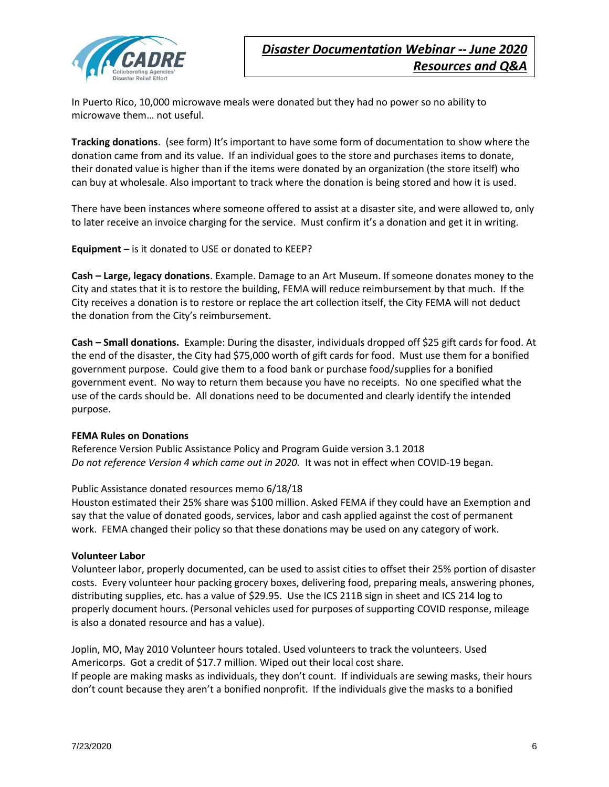

In Puerto Rico, 10,000 microwave meals were donated but they had no power so no ability to microwave them… not useful.

**Tracking donations**. (see form) It's important to have some form of documentation to show where the donation came from and its value. If an individual goes to the store and purchases items to donate, their donated value is higher than if the items were donated by an organization (the store itself) who can buy at wholesale. Also important to track where the donation is being stored and how it is used.

There have been instances where someone offered to assist at a disaster site, and were allowed to, only to later receive an invoice charging for the service. Must confirm it's a donation and get it in writing.

**Equipment** – is it donated to USE or donated to KEEP?

**Cash – Large, legacy donations**. Example. Damage to an Art Museum. If someone donates money to the City and states that it is to restore the building, FEMA will reduce reimbursement by that much. If the City receives a donation is to restore or replace the art collection itself, the City FEMA will not deduct the donation from the City's reimbursement.

**Cash – Small donations.** Example: During the disaster, individuals dropped off \$25 gift cards for food. At the end of the disaster, the City had \$75,000 worth of gift cards for food. Must use them for a bonified government purpose. Could give them to a food bank or purchase food/supplies for a bonified government event. No way to return them because you have no receipts. No one specified what the use of the cards should be. All donations need to be documented and clearly identify the intended purpose.

#### **FEMA Rules on Donations**

Reference Version Public Assistance Policy and Program Guide version 3.1 2018 *Do not reference Version 4 which came out in 2020.* It was not in effect when COVID-19 began.

#### Public Assistance donated resources memo 6/18/18

Houston estimated their 25% share was \$100 million. Asked FEMA if they could have an Exemption and say that the value of donated goods, services, labor and cash applied against the cost of permanent work. FEMA changed their policy so that these donations may be used on any category of work.

#### **Volunteer Labor**

Volunteer labor, properly documented, can be used to assist cities to offset their 25% portion of disaster costs. Every volunteer hour packing grocery boxes, delivering food, preparing meals, answering phones, distributing supplies, etc. has a value of \$29.95. Use the ICS 211B sign in sheet and ICS 214 log to properly document hours. (Personal vehicles used for purposes of supporting COVID response, mileage is also a donated resource and has a value).

Joplin, MO, May 2010 Volunteer hours totaled. Used volunteers to track the volunteers. Used Americorps. Got a credit of \$17.7 million. Wiped out their local cost share. If people are making masks as individuals, they don't count. If individuals are sewing masks, their hours don't count because they aren't a bonified nonprofit. If the individuals give the masks to a bonified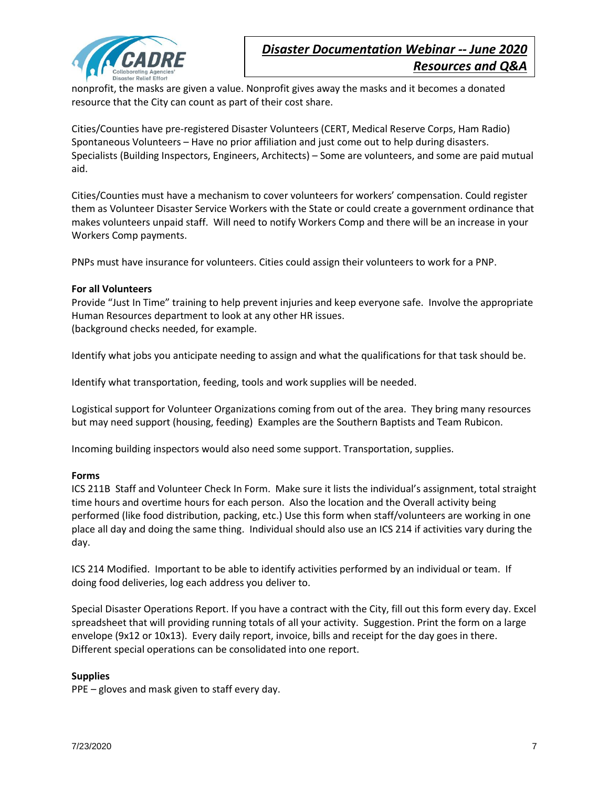

nonprofit, the masks are given a value. Nonprofit gives away the masks and it becomes a donated resource that the City can count as part of their cost share.

Cities/Counties have pre-registered Disaster Volunteers (CERT, Medical Reserve Corps, Ham Radio) Spontaneous Volunteers – Have no prior affiliation and just come out to help during disasters. Specialists (Building Inspectors, Engineers, Architects) – Some are volunteers, and some are paid mutual aid.

Cities/Counties must have a mechanism to cover volunteers for workers' compensation. Could register them as Volunteer Disaster Service Workers with the State or could create a government ordinance that makes volunteers unpaid staff. Will need to notify Workers Comp and there will be an increase in your Workers Comp payments.

PNPs must have insurance for volunteers. Cities could assign their volunteers to work for a PNP.

#### **For all Volunteers**

Provide "Just In Time" training to help prevent injuries and keep everyone safe. Involve the appropriate Human Resources department to look at any other HR issues. (background checks needed, for example.

Identify what jobs you anticipate needing to assign and what the qualifications for that task should be.

Identify what transportation, feeding, tools and work supplies will be needed.

Logistical support for Volunteer Organizations coming from out of the area. They bring many resources but may need support (housing, feeding) Examples are the Southern Baptists and Team Rubicon.

Incoming building inspectors would also need some support. Transportation, supplies.

#### **Forms**

ICS 211B Staff and Volunteer Check In Form. Make sure it lists the individual's assignment, total straight time hours and overtime hours for each person. Also the location and the Overall activity being performed (like food distribution, packing, etc.) Use this form when staff/volunteers are working in one place all day and doing the same thing. Individual should also use an ICS 214 if activities vary during the day.

ICS 214 Modified. Important to be able to identify activities performed by an individual or team. If doing food deliveries, log each address you deliver to.

Special Disaster Operations Report. If you have a contract with the City, fill out this form every day. Excel spreadsheet that will providing running totals of all your activity. Suggestion. Print the form on a large envelope (9x12 or 10x13). Every daily report, invoice, bills and receipt for the day goes in there. Different special operations can be consolidated into one report.

#### **Supplies**

PPE – gloves and mask given to staff every day.